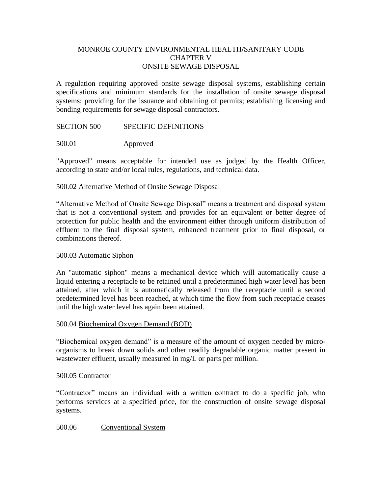# MONROE COUNTY ENVIRONMENTAL HEALTH**/**SANITARY CODE CHAPTER V ONSITE SEWAGE DISPOSAL

A regulation requiring approved onsite sewage disposal systems, establishing certain specifications and minimum standards for the installation of onsite sewage disposal systems; providing for the issuance and obtaining of permits; establishing licensing and bonding requirements for sewage disposal contractors.

# SECTION 500 SPECIFIC DEFINITIONS

# 500.01 Approved

"Approved" means acceptable for intended use as judged by the Health Officer, according to state and/or local rules, regulations, and technical data.

# 500.02 Alternative Method of Onsite Sewage Disposal

"Alternative Method of Onsite Sewage Disposal" means a treatment and disposal system that is not a conventional system and provides for an equivalent or better degree of protection for public health and the environment either through uniform distribution of effluent to the final disposal system, enhanced treatment prior to final disposal, or combinations thereof.

# 500.03 Automatic Siphon

An "automatic siphon" means a mechanical device which will automatically cause a liquid entering a receptacle to be retained until a predetermined high water level has been attained, after which it is automatically released from the receptacle until a second predetermined level has been reached, at which time the flow from such receptacle ceases until the high water level has again been attained.

#### 500.04 Biochemical Oxygen Demand (BOD)

"Biochemical oxygen demand" is a measure of the amount of oxygen needed by microorganisms to break down solids and other readily degradable organic matter present in wastewater effluent, usually measured in mg/L or parts per million.

#### 500.05 Contractor

"Contractor" means an individual with a written contract to do a specific job, who performs services at a specified price, for the construction of onsite sewage disposal systems.

500.06 Conventional System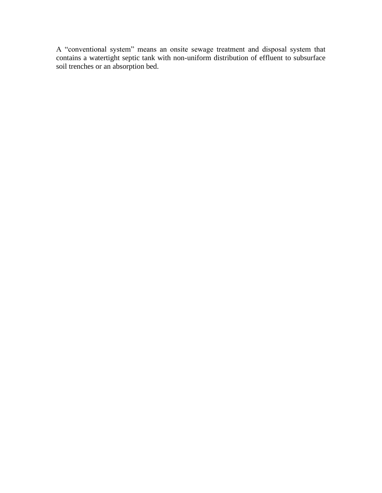A "conventional system" means an onsite sewage treatment and disposal system that contains a watertight septic tank with non-uniform distribution of effluent to subsurface soil trenches or an absorption bed.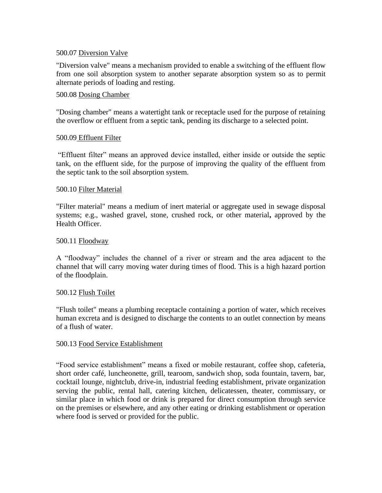# 500.07 Diversion Valve

"Diversion valve" means a mechanism provided to enable a switching of the effluent flow from one soil absorption system to another separate absorption system so as to permit alternate periods of loading and resting.

# 500.08 Dosing Chamber

"Dosing chamber" means a watertight tank or receptacle used for the purpose of retaining the overflow or effluent from a septic tank, pending its discharge to a selected point.

# 500.09 Effluent Filter

"Effluent filter" means an approved device installed, either inside or outside the septic tank, on the effluent side, for the purpose of improving the quality of the effluent from the septic tank to the soil absorption system.

# 500.10 Filter Material

"Filter material" means a medium of inert material or aggregate used in sewage disposal systems; e.g., washed gravel, stone, crushed rock, or other material**,** approved by the Health Officer.

# 500.11 Floodway

A "floodway" includes the channel of a river or stream and the area adjacent to the channel that will carry moving water during times of flood. This is a high hazard portion of the floodplain.

# 500.12 Flush Toilet

"Flush toilet" means a plumbing receptacle containing a portion of water, which receives human excreta and is designed to discharge the contents to an outlet connection by means of a flush of water.

# 500.13 Food Service Establishment

"Food service establishment" means a fixed or mobile restaurant, coffee shop, cafeteria, short order café, luncheonette, grill, tearoom, sandwich shop, soda fountain, tavern, bar, cocktail lounge, nightclub, drive-in, industrial feeding establishment, private organization serving the public, rental hall, catering kitchen, delicatessen, theater, commissary, or similar place in which food or drink is prepared for direct consumption through service on the premises or elsewhere, and any other eating or drinking establishment or operation where food is served or provided for the public.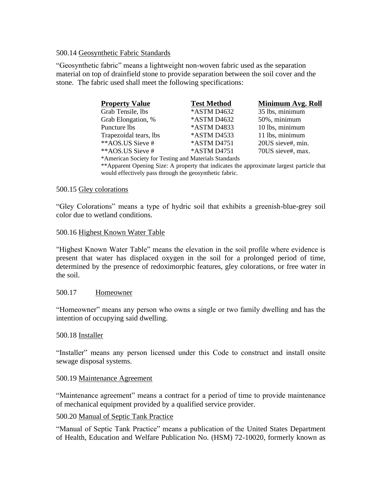# 500.14 Geosynthetic Fabric Standards

"Geosynthetic fabric" means a lightweight non-woven fabric used as the separation material on top of drainfield stone to provide separation between the soil cover and the stone. The fabric used shall meet the following specifications:

| <b>Property Value</b>                                 | <b>Test Method</b> | Minimum Avg. Roll |
|-------------------------------------------------------|--------------------|-------------------|
| Grab Tensile, lbs                                     | *ASTM D4632        | 35 lbs, minimum   |
| Grab Elongation, %                                    | *ASTM D4632        | 50%, minimum      |
| Puncture lbs                                          | *ASTM D4833        | 10 lbs, minimum   |
| Trapezoidal tears, lbs                                | *ASTM D4533        | 11 lbs, minimum   |
| **AOS.US Sieve #                                      | *ASTM D4751        | 20US sieve#, min. |
| **AOS.US Sieve #                                      | *ASTM D4751        | 70US sieve#, max. |
| *American Society for Testing and Materials Standards |                    |                   |

\*\*Apparent Opening Size: A property that indicates the approximate largest particle that would effectively pass through the geosynthetic fabric.

# 500.15 Gley colorations

"Gley Colorations" means a type of hydric soil that exhibits a greenish-blue-grey soil color due to wetland conditions.

# 500.16 Highest Known Water Table

"Highest Known Water Table" means the elevation in the soil profile where evidence is present that water has displaced oxygen in the soil for a prolonged period of time, determined by the presence of redoximorphic features, gley colorations, or free water in the soil.

# 500.17 Homeowner

"Homeowner" means any person who owns a single or two family dwelling and has the intention of occupying said dwelling.

#### 500.18 Installer

"Installer" means any person licensed under this Code to construct and install onsite sewage disposal systems.

#### 500.19 Maintenance Agreement

"Maintenance agreement" means a contract for a period of time to provide maintenance of mechanical equipment provided by a qualified service provider.

#### 500.20 Manual of Septic Tank Practice

"Manual of Septic Tank Practice" means a publication of the United States Department of Health, Education and Welfare Publication No. (HSM) 72-10020, formerly known as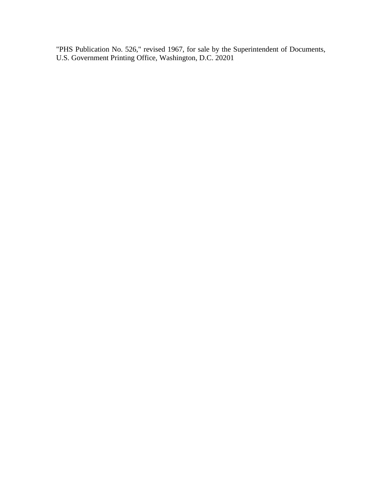"PHS Publication No. 526," revised 1967, for sale by the Superintendent of Documents, U.S. Government Printing Office, Washington, D.C. 20201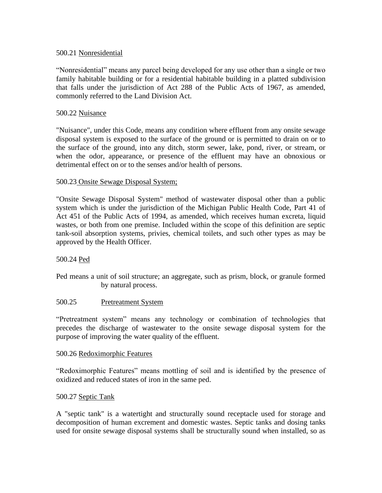# 500.21 Nonresidential

"Nonresidential" means any parcel being developed for any use other than a single or two family habitable building or for a residential habitable building in a platted subdivision that falls under the jurisdiction of Act 288 of the Public Acts of 1967, as amended, commonly referred to the Land Division Act.

# 500.22 Nuisance

"Nuisance", under this Code, means any condition where effluent from any onsite sewage disposal system is exposed to the surface of the ground or is permitted to drain on or to the surface of the ground, into any ditch, storm sewer, lake, pond, river, or stream, or when the odor, appearance, or presence of the effluent may have an obnoxious or detrimental effect on or to the senses and/or health of persons.

# 500.23 Onsite Sewage Disposal System;

"Onsite Sewage Disposal System" method of wastewater disposal other than a public system which is under the jurisdiction of the Michigan Public Health Code, Part 41 of Act 451 of the Public Acts of 1994, as amended, which receives human excreta, liquid wastes, or both from one premise. Included within the scope of this definition are septic tank-soil absorption systems, privies, chemical toilets, and such other types as may be approved by the Health Officer.

# 500.24 Ped

Ped means a unit of soil structure; an aggregate, such as prism, block, or granule formed by natural process.

#### 500.25 Pretreatment System

"Pretreatment system" means any technology or combination of technologies that precedes the discharge of wastewater to the onsite sewage disposal system for the purpose of improving the water quality of the effluent.

#### 500.26 Redoximorphic Features

"Redoximorphic Features" means mottling of soil and is identified by the presence of oxidized and reduced states of iron in the same ped.

#### 500.27 Septic Tank

A "septic tank" is a watertight and structurally sound receptacle used for storage and decomposition of human excrement and domestic wastes. Septic tanks and dosing tanks used for onsite sewage disposal systems shall be structurally sound when installed, so as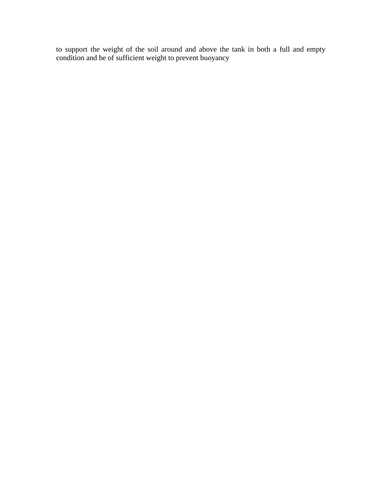to support the weight of the soil around and above the tank in both a full and empty condition and be of sufficient weight to prevent buoyancy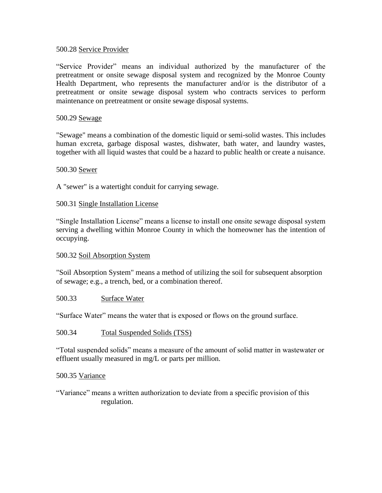# 500.28 Service Provider

"Service Provider" means an individual authorized by the manufacturer of the pretreatment or onsite sewage disposal system and recognized by the Monroe County Health Department, who represents the manufacturer and/or is the distributor of a pretreatment or onsite sewage disposal system who contracts services to perform maintenance on pretreatment or onsite sewage disposal systems.

# 500.29 Sewage

"Sewage" means a combination of the domestic liquid or semi-solid wastes. This includes human excreta, garbage disposal wastes, dishwater, bath water, and laundry wastes, together with all liquid wastes that could be a hazard to public health or create a nuisance.

# 500.30 Sewer

A "sewer" is a watertight conduit for carrying sewage.

# 500.31 Single Installation License

"Single Installation License" means a license to install one onsite sewage disposal system serving a dwelling within Monroe County in which the homeowner has the intention of occupying.

# 500.32 Soil Absorption System

"Soil Absorption System" means a method of utilizing the soil for subsequent absorption of sewage; e.g., a trench, bed, or a combination thereof.

## 500.33 Surface Water

"Surface Water" means the water that is exposed or flows on the ground surface.

# 500.34 Total Suspended Solids (TSS)

"Total suspended solids" means a measure of the amount of solid matter in wastewater or effluent usually measured in mg/L or parts per million.

#### 500.35 Variance

"Variance" means a written authorization to deviate from a specific provision of this regulation.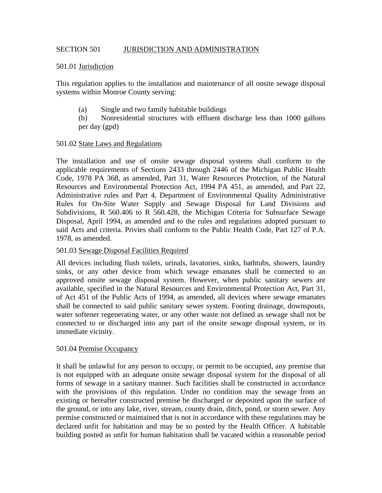# SECTION 501 JURISDICTION AND ADMINISTRATION

## 501.01 Jurisdiction

This regulation applies to the installation and maintenance of all onsite sewage disposal systems within Monroe County serving:

(a) Single and two family habitable buildings

(b) Nonresidential structures with effluent discharge less than 1000 gallons per day (gpd)

## 501.02 State Laws and Regulations

The installation and use of onsite sewage disposal systems shall conform to the applicable requirements of Sections 2433 through 2446 of the Michigan Public Health Code, 1978 PA 368, as amended, Part 31, Water Resources Protection, of the Natural Resources and Environmental Protection Act, 1994 PA 451, as amended, and Part 22, Administrative rules and Part 4, Department of Environmental Quality Administrative Rules for On-Site Water Supply and Sewage Disposal for Land Divisions and Subdivisions, R 560.406 to R 560.428, the Michigan Criteria for Subsurface Sewage Disposal, April 1994, as amended and to the rules and regulations adopted pursuant to said Acts and criteria. Privies shall conform to the Public Health Code, Part 127 of P.A. 1978, as amended.

#### 501.03 Sewage Disposal Facilities Required

All devices including flush toilets, urinals, lavatories, sinks, bathtubs, showers, laundry sinks, or any other device from which sewage emanates shall be connected to an approved onsite sewage disposal system. However, when public sanitary sewers are available, specified in the Natural Resources and Environmental Protection Act, Part 31, of Act 451 of the Public Acts of 1994, as amended, all devices where sewage emanates shall be connected to said public sanitary sewer system. Footing drainage, downspouts, water softener regenerating water, or any other waste not defined as sewage shall not be connected to or discharged into any part of the onsite sewage disposal system, or its immediate vicinity.

#### 501.04 Premise Occupancy

It shall be unlawful for any person to occupy, or permit to be occupied, any premise that is not equipped with an adequate onsite sewage disposal system for the disposal of all forms of sewage in a sanitary manner. Such facilities shall be constructed in accordance with the provisions of this regulation. Under no condition may the sewage from an existing or hereafter constructed premise be discharged or deposited upon the surface of the ground, or into any lake, river, stream, county drain, ditch, pond, or storm sewer. Any premise constructed or maintained that is not in accordance with these regulations may be declared unfit for habitation and may be so posted by the Health Officer. A habitable building posted as unfit for human habitation shall be vacated within a reasonable period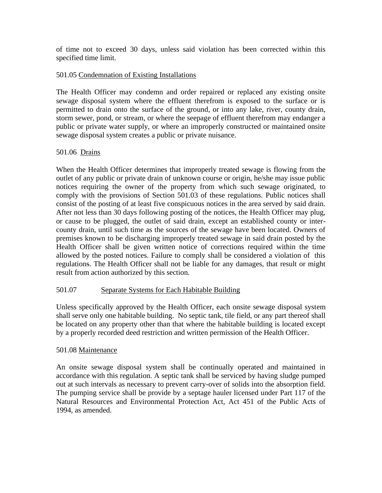of time not to exceed 30 days, unless said violation has been corrected within this specified time limit.

# 501.05 Condemnation of Existing Installations

The Health Officer may condemn and order repaired or replaced any existing onsite sewage disposal system where the effluent therefrom is exposed to the surface or is permitted to drain onto the surface of the ground, or into any lake, river, county drain, storm sewer, pond, or stream, or where the seepage of effluent therefrom may endanger a public or private water supply, or where an improperly constructed or maintained onsite sewage disposal system creates a public or private nuisance.

# 501.06 Drains

When the Health Officer determines that improperly treated sewage is flowing from the outlet of any public or private drain of unknown course or origin, he/she may issue public notices requiring the owner of the property from which such sewage originated, to comply with the provisions of Section 501.03 of these regulations. Public notices shall consist of the posting of at least five conspicuous notices in the area served by said drain. After not less than 30 days following posting of the notices, the Health Officer may plug, or cause to be plugged, the outlet of said drain, except an established county or intercounty drain, until such time as the sources of the sewage have been located. Owners of premises known to be discharging improperly treated sewage in said drain posted by the Health Officer shall be given written notice of corrections required within the time allowed by the posted notices. Failure to comply shall be considered a violation of this regulations. The Health Officer shall not be liable for any damages, that result or might result from action authorized by this section.

# 501.07 Separate Systems for Each Habitable Building

Unless specifically approved by the Health Officer, each onsite sewage disposal system shall serve only one habitable building. No septic tank, tile field, or any part thereof shall be located on any property other than that where the habitable building is located except by a properly recorded deed restriction and written permission of the Health Officer.

# 501.08 Maintenance

An onsite sewage disposal system shall be continually operated and maintained in accordance with this regulation. A septic tank shall be serviced by having sludge pumped out at such intervals as necessary to prevent carry-over of solids into the absorption field. The pumping service shall be provide by a septage hauler licensed under Part 117 of the Natural Resources and Environmental Protection Act, Act 451 of the Public Acts of 1994, as amended.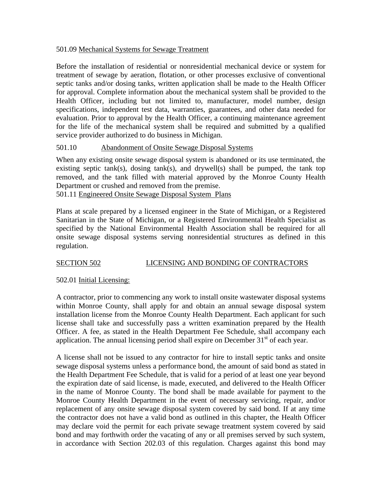# 501.09 Mechanical Systems for Sewage Treatment

Before the installation of residential or nonresidential mechanical device or system for treatment of sewage by aeration, flotation, or other processes exclusive of conventional septic tanks and/or dosing tanks, written application shall be made to the Health Officer for approval. Complete information about the mechanical system shall be provided to the Health Officer, including but not limited to, manufacturer, model number, design specifications, independent test data, warranties, guarantees, and other data needed for evaluation. Prior to approval by the Health Officer, a continuing maintenance agreement for the life of the mechanical system shall be required and submitted by a qualified service provider authorized to do business in Michigan.

# 501.10 Abandonment of Onsite Sewage Disposal Systems

When any existing onsite sewage disposal system is abandoned or its use terminated, the existing septic tank(s), dosing tank(s), and drywell(s) shall be pumped, the tank top removed, and the tank filled with material approved by the Monroe County Health Department or crushed and removed from the premise.

501.11 Engineered Onsite Sewage Disposal System Plans

Plans at scale prepared by a licensed engineer in the State of Michigan, or a Registered Sanitarian in the State of Michigan, or a Registered Environmental Health Specialist as specified by the National Environmental Health Association shall be required for all onsite sewage disposal systems serving nonresidential structures as defined in this regulation.

# SECTION 502 LICENSING AND BONDING OF CONTRACTORS

# 502.01 Initial Licensing:

A contractor, prior to commencing any work to install onsite wastewater disposal systems within Monroe County, shall apply for and obtain an annual sewage disposal system installation license from the Monroe County Health Department. Each applicant for such license shall take and successfully pass a written examination prepared by the Health Officer. A fee, as stated in the Health Department Fee Schedule, shall accompany each application. The annual licensing period shall expire on December  $31<sup>st</sup>$  of each year.

A license shall not be issued to any contractor for hire to install septic tanks and onsite sewage disposal systems unless a performance bond, the amount of said bond as stated in the Health Department Fee Schedule, that is valid for a period of at least one year beyond the expiration date of said license, is made, executed, and delivered to the Health Officer in the name of Monroe County. The bond shall be made available for payment to the Monroe County Health Department in the event of necessary servicing, repair, and/or replacement of any onsite sewage disposal system covered by said bond. If at any time the contractor does not have a valid bond as outlined in this chapter, the Health Officer may declare void the permit for each private sewage treatment system covered by said bond and may forthwith order the vacating of any or all premises served by such system, in accordance with Section 202.03 of this regulation. Charges against this bond may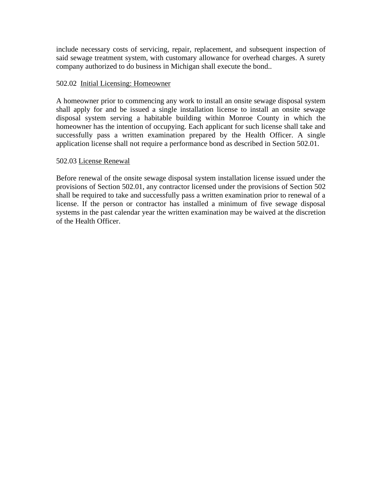include necessary costs of servicing, repair, replacement, and subsequent inspection of said sewage treatment system, with customary allowance for overhead charges. A surety company authorized to do business in Michigan shall execute the bond..

# 502.02 Initial Licensing: Homeowner

A homeowner prior to commencing any work to install an onsite sewage disposal system shall apply for and be issued a single installation license to install an onsite sewage disposal system serving a habitable building within Monroe County in which the homeowner has the intention of occupying. Each applicant for such license shall take and successfully pass a written examination prepared by the Health Officer. A single application license shall not require a performance bond as described in Section 502.01.

# 502.03 License Renewal

Before renewal of the onsite sewage disposal system installation license issued under the provisions of Section 502.01, any contractor licensed under the provisions of Section 502 shall be required to take and successfully pass a written examination prior to renewal of a license. If the person or contractor has installed a minimum of five sewage disposal systems in the past calendar year the written examination may be waived at the discretion of the Health Officer.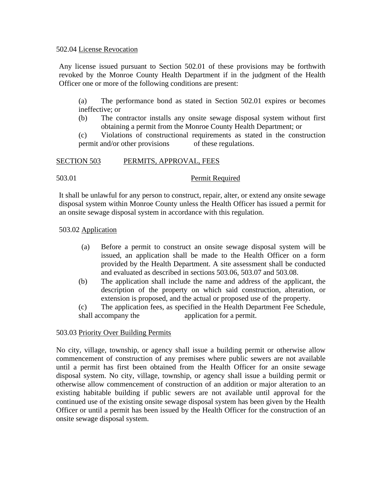## 502.04 License Revocation

Any license issued pursuant to Section 502.01 of these provisions may be forthwith revoked by the Monroe County Health Department if in the judgment of the Health Officer one or more of the following conditions are present:

(a) The performance bond as stated in Section 502.01 expires or becomes ineffective; or

(b) The contractor installs any onsite sewage disposal system without first obtaining a permit from the Monroe County Health Department; or

(c) Violations of constructional requirements as stated in the construction permit and/or other provisions of these regulations.

# SECTION 503 PERMITS, APPROVAL, FEES

503.01 Permit Required

It shall be unlawful for any person to construct, repair, alter, or extend any onsite sewage disposal system within Monroe County unless the Health Officer has issued a permit for an onsite sewage disposal system in accordance with this regulation.

# 503.02 Application

- (a) Before a permit to construct an onsite sewage disposal system will be issued, an application shall be made to the Health Officer on a form provided by the Health Department. A site assessment shall be conducted and evaluated as described in sections 503.06, 503.07 and 503.08.
- (b) The application shall include the name and address of the applicant, the description of the property on which said construction, alteration, or extension is proposed, and the actual or proposed use of the property.

(c) The application fees, as specified in the Health Department Fee Schedule, shall accompany the application for a permit.

# 503.03 Priority Over Building Permits

No city, village, township, or agency shall issue a building permit or otherwise allow commencement of construction of any premises where public sewers are not available until a permit has first been obtained from the Health Officer for an onsite sewage disposal system. No city, village, township, or agency shall issue a building permit or otherwise allow commencement of construction of an addition or major alteration to an existing habitable building if public sewers are not available until approval for the continued use of the existing onsite sewage disposal system has been given by the Health Officer or until a permit has been issued by the Health Officer for the construction of an onsite sewage disposal system.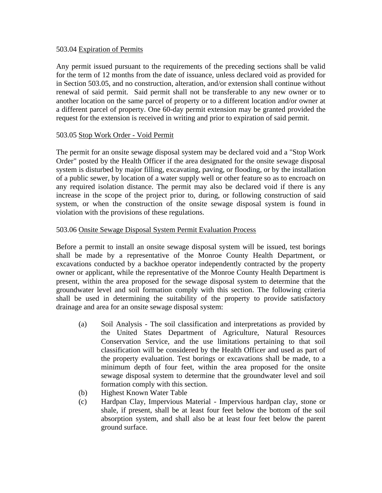# 503.04 Expiration of Permits

Any permit issued pursuant to the requirements of the preceding sections shall be valid for the term of 12 months from the date of issuance, unless declared void as provided for in Section 503.05, and no construction, alteration, and/or extension shall continue without renewal of said permit. Said permit shall not be transferable to any new owner or to another location on the same parcel of property or to a different location and/or owner at a different parcel of property. One 60-day permit extension may be granted provided the request for the extension is received in writing and prior to expiration of said permit.

# 503.05 Stop Work Order - Void Permit

The permit for an onsite sewage disposal system may be declared void and a "Stop Work Order" posted by the Health Officer if the area designated for the onsite sewage disposal system is disturbed by major filling, excavating, paving, or flooding, or by the installation of a public sewer, by location of a water supply well or other feature so as to encroach on any required isolation distance. The permit may also be declared void if there is any increase in the scope of the project prior to, during, or following construction of said system, or when the construction of the onsite sewage disposal system is found in violation with the provisions of these regulations.

# 503.06 Onsite Sewage Disposal System Permit Evaluation Process

Before a permit to install an onsite sewage disposal system will be issued, test borings shall be made by a representative of the Monroe County Health Department, or excavations conducted by a backhoe operator independently contracted by the property owner or applicant, while the representative of the Monroe County Health Department is present, within the area proposed for the sewage disposal system to determine that the groundwater level and soil formation comply with this section. The following criteria shall be used in determining the suitability of the property to provide satisfactory drainage and area for an onsite sewage disposal system:

- (a) Soil Analysis The soil classification and interpretations as provided by the United States Department of Agriculture, Natural Resources Conservation Service, and the use limitations pertaining to that soil classification will be considered by the Health Officer and used as part of the property evaluation. Test borings or excavations shall be made, to a minimum depth of four feet, within the area proposed for the onsite sewage disposal system to determine that the groundwater level and soil formation comply with this section.
- (b) Highest Known Water Table
- (c) Hardpan Clay, Impervious Material Impervious hardpan clay, stone or shale, if present, shall be at least four feet below the bottom of the soil absorption system, and shall also be at least four feet below the parent ground surface.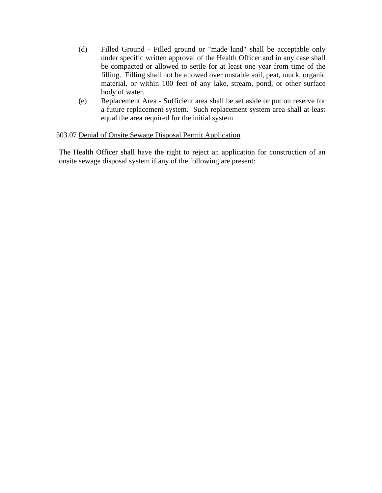- (d) Filled Ground Filled ground or "made land" shall be acceptable only under specific written approval of the Health Officer and in any case shall be compacted or allowed to settle for at least one year from time of the filling. Filling shall not be allowed over unstable soil, peat, muck, organic material, or within 100 feet of any lake, stream, pond, or other surface body of water.
- (e) Replacement Area Sufficient area shall be set aside or put on reserve for a future replacement system. Such replacement system area shall at least equal the area required for the initial system.

# 503.07 Denial of Onsite Sewage Disposal Permit Application

The Health Officer shall have the right to reject an application for construction of an onsite sewage disposal system if any of the following are present: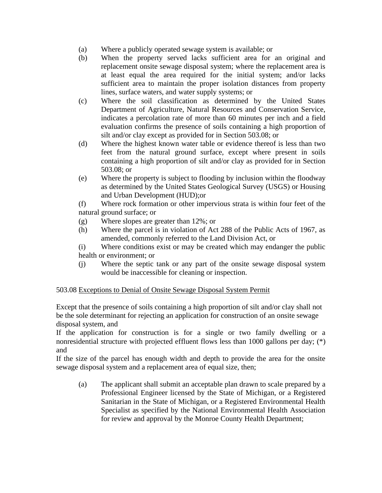- (a) Where a publicly operated sewage system is available; or
- (b) When the property served lacks sufficient area for an original and replacement onsite sewage disposal system; where the replacement area is at least equal the area required for the initial system; and/or lacks sufficient area to maintain the proper isolation distances from property lines, surface waters, and water supply systems; or
- (c) Where the soil classification as determined by the United States Department of Agriculture, Natural Resources and Conservation Service, indicates a percolation rate of more than 60 minutes per inch and a field evaluation confirms the presence of soils containing a high proportion of silt and/or clay except as provided for in Section 503.08; or
- (d) Where the highest known water table or evidence thereof is less than two feet from the natural ground surface, except where present in soils containing a high proportion of silt and/or clay as provided for in Section 503.08; or
- (e) Where the property is subject to flooding by inclusion within the floodway as determined by the United States Geological Survey (USGS) or Housing and Urban Development (HUD);or

(f) Where rock formation or other impervious strata is within four feet of the natural ground surface; or

- (g) Where slopes are greater than 12%; or
- (h) Where the parcel is in violation of Act 288 of the Public Acts of 1967, as amended, commonly referred to the Land Division Act, or
- (i) Where conditions exist or may be created which may endanger the public health or environment; or
- (j) Where the septic tank or any part of the onsite sewage disposal system would be inaccessible for cleaning or inspection.

# 503.08 Exceptions to Denial of Onsite Sewage Disposal System Permit

Except that the presence of soils containing a high proportion of silt and/or clay shall not be the sole determinant for rejecting an application for construction of an onsite sewage disposal system, and

If the application for construction is for a single or two family dwelling or a nonresidential structure with projected effluent flows less than 1000 gallons per day; (\*) and

If the size of the parcel has enough width and depth to provide the area for the onsite sewage disposal system and a replacement area of equal size, then;

(a) The applicant shall submit an acceptable plan drawn to scale prepared by a Professional Engineer licensed by the State of Michigan, or a Registered Sanitarian in the State of Michigan, or a Registered Environmental Health Specialist as specified by the National Environmental Health Association for review and approval by the Monroe County Health Department;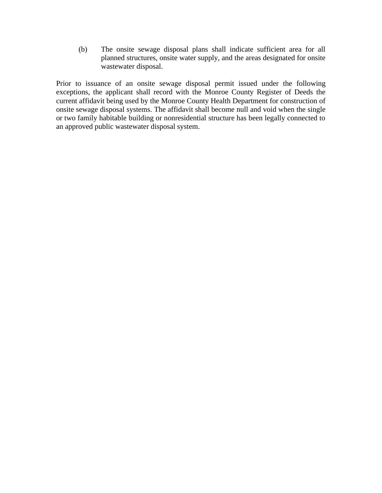(b) The onsite sewage disposal plans shall indicate sufficient area for all planned structures, onsite water supply, and the areas designated for onsite wastewater disposal.

Prior to issuance of an onsite sewage disposal permit issued under the following exceptions, the applicant shall record with the Monroe County Register of Deeds the current affidavit being used by the Monroe County Health Department for construction of onsite sewage disposal systems. The affidavit shall become null and void when the single or two family habitable building or nonresidential structure has been legally connected to an approved public wastewater disposal system.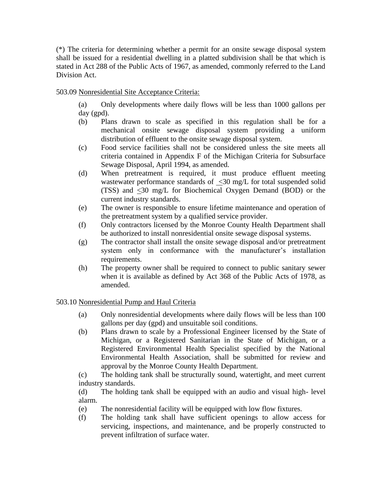(\*) The criteria for determining whether a permit for an onsite sewage disposal system shall be issued for a residential dwelling in a platted subdivision shall be that which is stated in Act 288 of the Public Acts of 1967, as amended, commonly referred to the Land Division Act.

# 503.09 Nonresidential Site Acceptance Criteria:

(a) Only developments where daily flows will be less than 1000 gallons per day (gpd).

- (b) Plans drawn to scale as specified in this regulation shall be for a mechanical onsite sewage disposal system providing a uniform distribution of effluent to the onsite sewage disposal system.
- (c) Food service facilities shall not be considered unless the site meets all criteria contained in Appendix F of the Michigan Criteria for Subsurface Sewage Disposal, April 1994, as amended.
- (d) When pretreatment is required, it must produce effluent meeting wastewater performance standards of <30 mg/L for total suspended solid (TSS) and <30 mg/L for Biochemical Oxygen Demand (BOD) or the current industry standards.
- (e) The owner is responsible to ensure lifetime maintenance and operation of the pretreatment system by a qualified service provider.
- (f) Only contractors licensed by the Monroe County Health Department shall be authorized to install nonresidential onsite sewage disposal systems.
- (g) The contractor shall install the onsite sewage disposal and/or pretreatment system only in conformance with the manufacturer's installation requirements.
- (h) The property owner shall be required to connect to public sanitary sewer when it is available as defined by Act 368 of the Public Acts of 1978, as amended.

# 503.10 Nonresidential Pump and Haul Criteria

- (a) Only nonresidential developments where daily flows will be less than 100 gallons per day (gpd) and unsuitable soil conditions.
- (b) Plans drawn to scale by a Professional Engineer licensed by the State of Michigan, or a Registered Sanitarian in the State of Michigan, or a Registered Environmental Health Specialist specified by the National Environmental Health Association, shall be submitted for review and approval by the Monroe County Health Department.

(c) The holding tank shall be structurally sound, watertight, and meet current industry standards.

(d) The holding tank shall be equipped with an audio and visual high- level alarm.

- (e) The nonresidential facility will be equipped with low flow fixtures.
- (f) The holding tank shall have sufficient openings to allow access for servicing, inspections, and maintenance, and be properly constructed to prevent infiltration of surface water.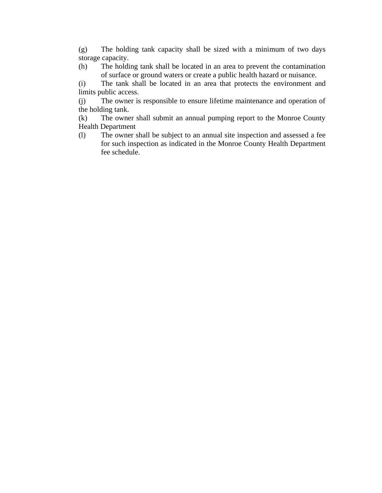(g) The holding tank capacity shall be sized with a minimum of two days storage capacity.

(h) The holding tank shall be located in an area to prevent the contamination of surface or ground waters or create a public health hazard or nuisance.

(i) The tank shall be located in an area that protects the environment and limits public access.

(j) The owner is responsible to ensure lifetime maintenance and operation of the holding tank.

(k) The owner shall submit an annual pumping report to the Monroe County Health Department

(l) The owner shall be subject to an annual site inspection and assessed a fee for such inspection as indicated in the Monroe County Health Department fee schedule.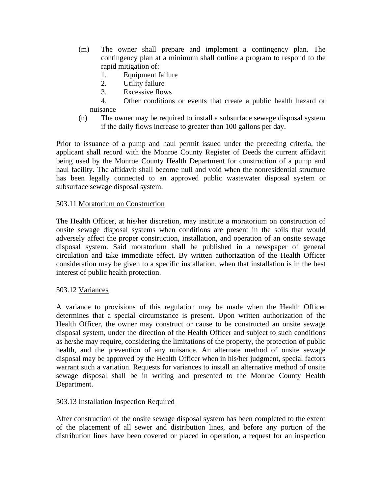- (m) The owner shall prepare and implement a contingency plan. The contingency plan at a minimum shall outline a program to respond to the rapid mitigation of:
	- 1. Equipment failure
	- 2. Utility failure
	- 3. Excessive flows
	- 4. Other conditions or events that create a public health hazard or nuisance
- (n) The owner may be required to install a subsurface sewage disposal system if the daily flows increase to greater than 100 gallons per day.

Prior to issuance of a pump and haul permit issued under the preceding criteria, the applicant shall record with the Monroe County Register of Deeds the current affidavit being used by the Monroe County Health Department for construction of a pump and haul facility. The affidavit shall become null and void when the nonresidential structure has been legally connected to an approved public wastewater disposal system or subsurface sewage disposal system.

# 503.11 Moratorium on Construction

The Health Officer, at his/her discretion, may institute a moratorium on construction of onsite sewage disposal systems when conditions are present in the soils that would adversely affect the proper construction, installation, and operation of an onsite sewage disposal system. Said moratorium shall be published in a newspaper of general circulation and take immediate effect. By written authorization of the Health Officer consideration may be given to a specific installation, when that installation is in the best interest of public health protection.

# 503.12 Variances

A variance to provisions of this regulation may be made when the Health Officer determines that a special circumstance is present. Upon written authorization of the Health Officer, the owner may construct or cause to be constructed an onsite sewage disposal system, under the direction of the Health Officer and subject to such conditions as he/she may require, considering the limitations of the property, the protection of public health, and the prevention of any nuisance. An alternate method of onsite sewage disposal may be approved by the Health Officer when in his/her judgment, special factors warrant such a variation. Requests for variances to install an alternative method of onsite sewage disposal shall be in writing and presented to the Monroe County Health Department.

# 503.13 Installation Inspection Required

After construction of the onsite sewage disposal system has been completed to the extent of the placement of all sewer and distribution lines, and before any portion of the distribution lines have been covered or placed in operation, a request for an inspection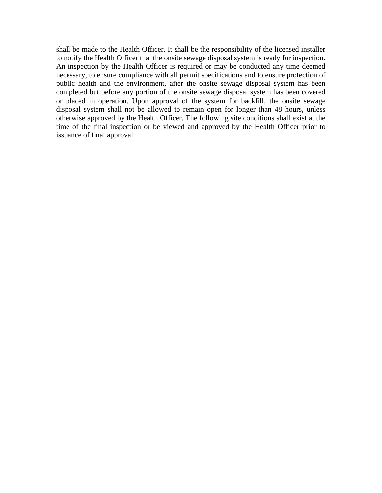shall be made to the Health Officer. It shall be the responsibility of the licensed installer to notify the Health Officer that the onsite sewage disposal system is ready for inspection. An inspection by the Health Officer is required or may be conducted any time deemed necessary, to ensure compliance with all permit specifications and to ensure protection of public health and the environment, after the onsite sewage disposal system has been completed but before any portion of the onsite sewage disposal system has been covered or placed in operation. Upon approval of the system for backfill, the onsite sewage disposal system shall not be allowed to remain open for longer than 48 hours, unless otherwise approved by the Health Officer. The following site conditions shall exist at the time of the final inspection or be viewed and approved by the Health Officer prior to issuance of final approval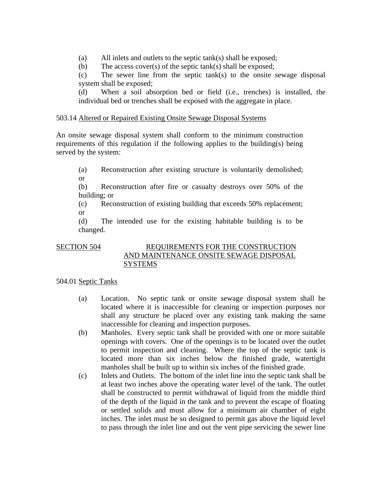(a) All inlets and outlets to the septic tank(s) shall be exposed;

(b) The access cover(s) of the septic tank(s) shall be exposed;

(c) The sewer line from the septic tank(s) to the onsite sewage disposal system shall be exposed;

(d) When a soil absorption bed or field (i.e., trenches) is installed, the individual bed or trenches shall be exposed with the aggregate in place.

# 503.14 Altered or Repaired Existing Onsite Sewage Disposal Systems

An onsite sewage disposal system shall conform to the minimum construction requirements of this regulation if the following applies to the building(s) being served by the system:

(a) Reconstruction after existing structure is voluntarily demolished; or

(b) Reconstruction after fire or casualty destroys over 50% of the building; or

(c) Reconstruction of existing building that exceeds 50% replacement; or

(d) The intended use for the existing habitable building is to be changed.

# SECTION 504 REQUIREMENTS FOR THE CONSTRUCTION AND MAINTENANCE ONSITE SEWAGE DISPOSAL **SYSTEMS**

# 504.01 Septic Tanks

- (a) Location. No septic tank or onsite sewage disposal system shall be located where it is inaccessible for cleaning or inspection purposes nor shall any structure be placed over any existing tank making the same inaccessible for cleaning and inspection purposes.
- (b) Manholes. Every septic tank shall be provided with one or more suitable openings with covers. One of the openings is to be located over the outlet to permit inspection and cleaning. Where the top of the septic tank is located more than six inches below the finished grade, watertight manholes shall be built up to within six inches of the finished grade.
- (c) Inlets and Outlets. The bottom of the inlet line into the septic tank shall be at least two inches above the operating water level of the tank. The outlet shall be constructed to permit withdrawal of liquid from the middle third of the depth of the liquid in the tank and to prevent the escape of floating or settled solids and must allow for a minimum air chamber of eight inches. The inlet must be so designed to permit gas above the liquid level to pass through the inlet line and out the vent pipe servicing the sewer line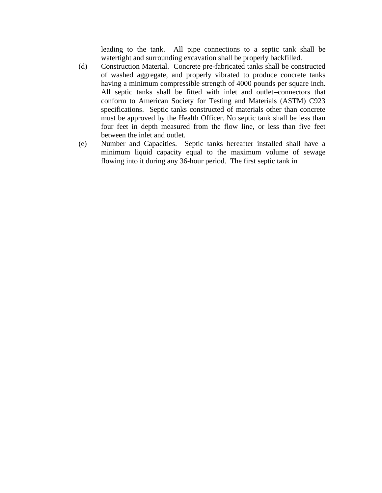leading to the tank. All pipe connections to a septic tank shall be watertight and surrounding excavation shall be properly backfilled.

- (d) Construction Material. Concrete pre-fabricated tanks shall be constructed of washed aggregate, and properly vibrated to produce concrete tanks having a minimum compressible strength of 4000 pounds per square inch. All septic tanks shall be fitted with inlet and outlet-connectors that conform to American Society for Testing and Materials (ASTM) C923 specifications. Septic tanks constructed of materials other than concrete must be approved by the Health Officer. No septic tank shall be less than four feet in depth measured from the flow line, or less than five feet between the inlet and outlet.
- (e) Number and Capacities. Septic tanks hereafter installed shall have a minimum liquid capacity equal to the maximum volume of sewage flowing into it during any 36-hour period. The first septic tank in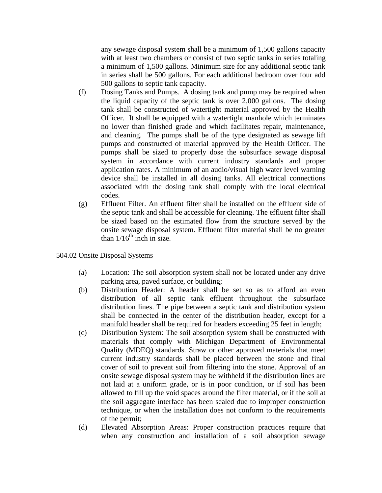any sewage disposal system shall be a minimum of 1,500 gallons capacity with at least two chambers or consist of two septic tanks in series totaling a minimum of 1,500 gallons. Minimum size for any additional septic tank in series shall be 500 gallons. For each additional bedroom over four add 500 gallons to septic tank capacity.

- (f) Dosing Tanks and Pumps. A dosing tank and pump may be required when the liquid capacity of the septic tank is over 2,000 gallons. The dosing tank shall be constructed of watertight material approved by the Health Officer. It shall be equipped with a watertight manhole which terminates no lower than finished grade and which facilitates repair, maintenance, and cleaning. The pumps shall be of the type designated as sewage lift pumps and constructed of material approved by the Health Officer. The pumps shall be sized to properly dose the subsurface sewage disposal system in accordance with current industry standards and proper application rates. A minimum of an audio/visual high water level warning device shall be installed in all dosing tanks. All electrical connections associated with the dosing tank shall comply with the local electrical codes.
- (g) Effluent Filter. An effluent filter shall be installed on the effluent side of the septic tank and shall be accessible for cleaning. The effluent filter shall be sized based on the estimated flow from the structure served by the onsite sewage disposal system. Effluent filter material shall be no greater than  $1/16^{th}$  inch in size.

# 504.02 Onsite Disposal Systems

- (a) Location: The soil absorption system shall not be located under any drive parking area, paved surface, or building;
- (b) Distribution Header: A header shall be set so as to afford an even distribution of all septic tank effluent throughout the subsurface distribution lines. The pipe between a septic tank and distribution system shall be connected in the center of the distribution header, except for a manifold header shall be required for headers exceeding 25 feet in length;
- (c) Distribution System: The soil absorption system shall be constructed with materials that comply with Michigan Department of Environmental Quality (MDEQ) standards. Straw or other approved materials that meet current industry standards shall be placed between the stone and final cover of soil to prevent soil from filtering into the stone. Approval of an onsite sewage disposal system may be withheld if the distribution lines are not laid at a uniform grade, or is in poor condition, or if soil has been allowed to fill up the void spaces around the filter material, or if the soil at the soil aggregate interface has been sealed due to improper construction technique, or when the installation does not conform to the requirements of the permit;
- (d) Elevated Absorption Areas: Proper construction practices require that when any construction and installation of a soil absorption sewage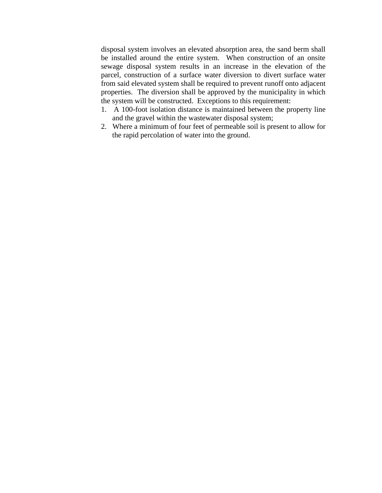disposal system involves an elevated absorption area, the sand berm shall be installed around the entire system. When construction of an onsite sewage disposal system results in an increase in the elevation of the parcel, construction of a surface water diversion to divert surface water from said elevated system shall be required to prevent runoff onto adjacent properties. The diversion shall be approved by the municipality in which the system will be constructed. Exceptions to this requirement:

- 1. A 100-foot isolation distance is maintained between the property line and the gravel within the wastewater disposal system;
- 2. Where a minimum of four feet of permeable soil is present to allow for the rapid percolation of water into the ground.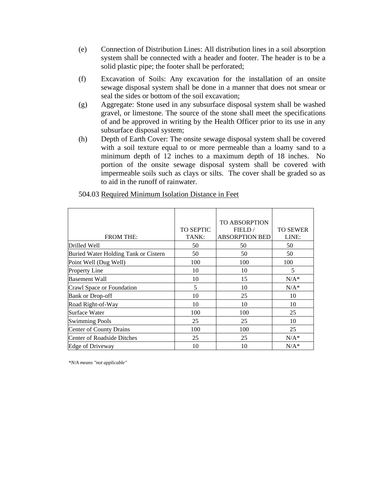- (e) Connection of Distribution Lines: All distribution lines in a soil absorption system shall be connected with a header and footer. The header is to be a solid plastic pipe; the footer shall be perforated;
- (f) Excavation of Soils: Any excavation for the installation of an onsite sewage disposal system shall be done in a manner that does not smear or seal the sides or bottom of the soil excavation;
- (g) Aggregate: Stone used in any subsurface disposal system shall be washed gravel, or limestone. The source of the stone shall meet the specifications of and be approved in writing by the Health Officer prior to its use in any subsurface disposal system;
- (h) Depth of Earth Cover: The onsite sewage disposal system shall be covered with a soil texture equal to or more permeable than a loamy sand to a minimum depth of 12 inches to a maximum depth of 18 inches. No portion of the onsite sewage disposal system shall be covered with impermeable soils such as clays or silts. The cover shall be graded so as to aid in the runoff of rainwater.

|                                      |                  | <b>TO ABSORPTION</b>  |                 |
|--------------------------------------|------------------|-----------------------|-----------------|
|                                      | <b>TO SEPTIC</b> | FIELD/                | <b>TO SEWER</b> |
| <b>FROM THE:</b>                     | TANK:            | <b>ABSORPTION BED</b> | LINE:           |
| Drilled Well                         | 50               | 50                    | 50              |
| Buried Water Holding Tank or Cistern | 50               | 50                    | 50              |
| Point Well (Dug Well)                | 100              | 100                   | 100             |
| <b>Property Line</b>                 | 10               | 10                    | 5               |
| <b>Basement Wall</b>                 | 10               | 15                    | $N/A^*$         |
| Crawl Space or Foundation            | 5                | 10                    | $N/A^*$         |
| <b>Bank or Drop-off</b>              | 10               | 25                    | 10              |
| Road Right-of-Way                    | 10               | 10                    | 10              |
| Surface Water                        | 100              | 100                   | 25              |
| <b>Swimming Pools</b>                | 25               | 25                    | 10              |
| Center of County Drains              | 100              | 100                   | 25              |
| Center of Roadside Ditches           | 25               | 25                    | $N/A^*$         |
| <b>Edge of Driveway</b>              | 10               | 10                    | $N/A^*$         |

504.03 Required Minimum Isolation Distance in Feet

*\*N/A means "not applicable"*